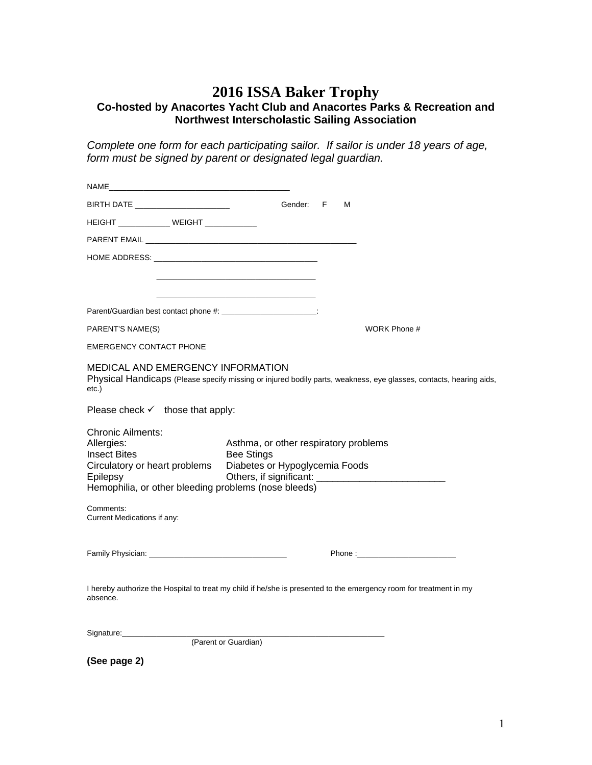## **2016 ISSA Baker Trophy Co-hosted by Anacortes Yacht Club and Anacortes Parks & Recreation and Northwest Interscholastic Sailing Association**

*Complete one form for each participating sailor. If sailor is under 18 years of age, form must be signed by parent or designated legal guardian.*

| BIRTH DATE ________________________                                                                                            | Gender:                                                                                                                                                                         | F | М |                                                                                                                    |  |
|--------------------------------------------------------------------------------------------------------------------------------|---------------------------------------------------------------------------------------------------------------------------------------------------------------------------------|---|---|--------------------------------------------------------------------------------------------------------------------|--|
| HEIGHT _____________ WEIGHT ___________                                                                                        |                                                                                                                                                                                 |   |   |                                                                                                                    |  |
|                                                                                                                                |                                                                                                                                                                                 |   |   |                                                                                                                    |  |
|                                                                                                                                |                                                                                                                                                                                 |   |   |                                                                                                                    |  |
|                                                                                                                                |                                                                                                                                                                                 |   |   |                                                                                                                    |  |
|                                                                                                                                |                                                                                                                                                                                 |   |   |                                                                                                                    |  |
| Parent/Guardian best contact phone #: ___________________________:                                                             |                                                                                                                                                                                 |   |   |                                                                                                                    |  |
| PARENT'S NAME(S)                                                                                                               |                                                                                                                                                                                 |   |   | WORK Phone #                                                                                                       |  |
| <b>EMERGENCY CONTACT PHONE</b>                                                                                                 |                                                                                                                                                                                 |   |   |                                                                                                                    |  |
| <b>MEDICAL AND EMERGENCY INFORMATION</b><br>etc.)                                                                              |                                                                                                                                                                                 |   |   | Physical Handicaps (Please specify missing or injured bodily parts, weakness, eye glasses, contacts, hearing aids, |  |
| Please check $\checkmark$ those that apply:                                                                                    |                                                                                                                                                                                 |   |   |                                                                                                                    |  |
| <b>Chronic Ailments:</b><br>Allergies:<br><b>Insect Bites</b><br>Circulatory or heart problems<br>Epilepsy                     | Asthma, or other respiratory problems<br><b>Bee Stings</b><br>Diabetes or Hypoglycemia Foods<br>Others, if significant:<br>Hemophilia, or other bleeding problems (nose bleeds) |   |   |                                                                                                                    |  |
| Comments:<br>Current Medications if any:                                                                                       |                                                                                                                                                                                 |   |   |                                                                                                                    |  |
|                                                                                                                                |                                                                                                                                                                                 |   |   | Phone: Note: Note: Note: Note: Note: Note: Note: Note: Note: Note: Note: Note: Note: Note: Note: Note: Note: No    |  |
| I hereby authorize the Hospital to treat my child if he/she is presented to the emergency room for treatment in my<br>absence. |                                                                                                                                                                                 |   |   |                                                                                                                    |  |
|                                                                                                                                | (Parent or Guardian)                                                                                                                                                            |   |   |                                                                                                                    |  |

**(See page 2)**